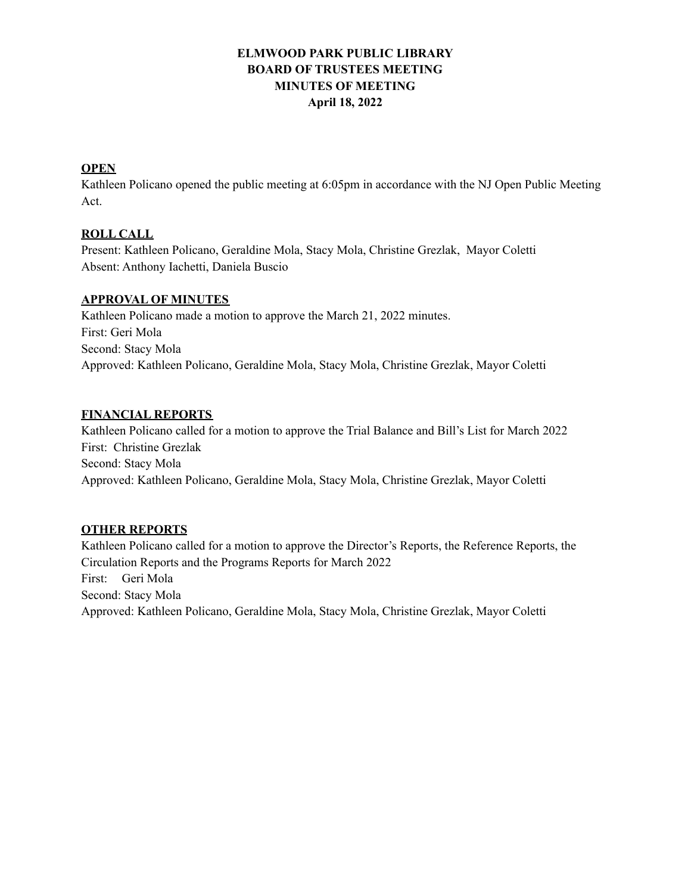# **ELMWOOD PARK PUBLIC LIBRARY BOARD OF TRUSTEES MEETING MINUTES OF MEETING April 18, 2022**

## **OPEN**

Kathleen Policano opened the public meeting at 6:05pm in accordance with the NJ Open Public Meeting Act.

## **ROLL CALL**

Present: Kathleen Policano, Geraldine Mola, Stacy Mola, Christine Grezlak, Mayor Coletti Absent: Anthony Iachetti, Daniela Buscio

### **APPROVAL OF MINUTES**

Kathleen Policano made a motion to approve the March 21, 2022 minutes. First: Geri Mola Second: Stacy Mola Approved: Kathleen Policano, Geraldine Mola, Stacy Mola, Christine Grezlak, Mayor Coletti

## **FINANCIAL REPORTS**

Kathleen Policano called for a motion to approve the Trial Balance and Bill's List for March 2022 First: Christine Grezlak Second: Stacy Mola Approved: Kathleen Policano, Geraldine Mola, Stacy Mola, Christine Grezlak, Mayor Coletti

### **OTHER REPORTS**

Kathleen Policano called for a motion to approve the Director's Reports, the Reference Reports, the Circulation Reports and the Programs Reports for March 2022 First: Geri Mola Second: Stacy Mola Approved: Kathleen Policano, Geraldine Mola, Stacy Mola, Christine Grezlak, Mayor Coletti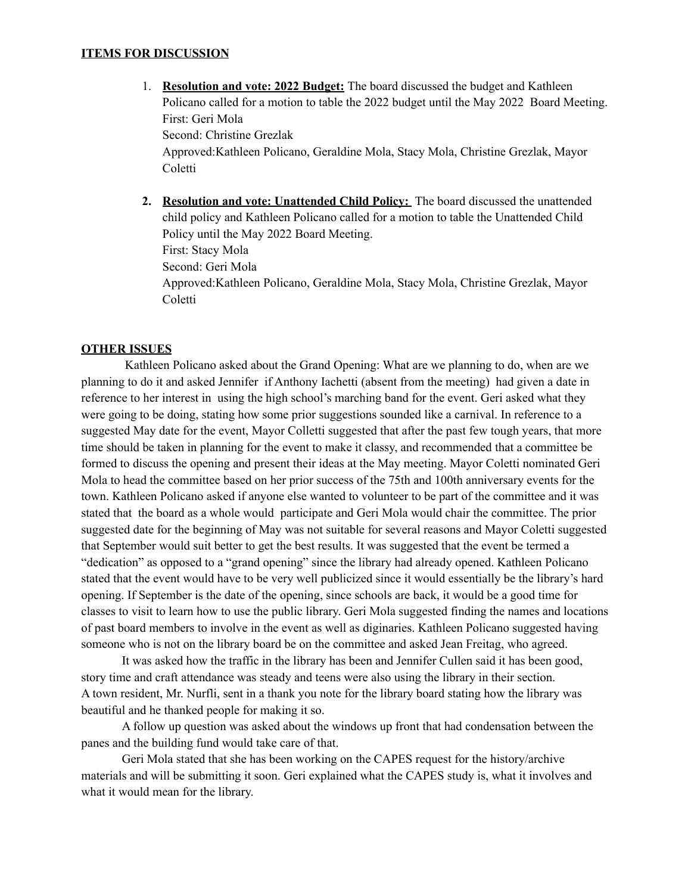### **ITEMS FOR DISCUSSION**

- 1. **Resolution and vote: 2022 Budget:** The board discussed the budget and Kathleen Policano called for a motion to table the 2022 budget until the May 2022 Board Meeting. First: Geri Mola Second: Christine Grezlak Approved:Kathleen Policano, Geraldine Mola, Stacy Mola, Christine Grezlak, Mayor Coletti
- **2. Resolution and vote: Unattended Child Policy:** The board discussed the unattended child policy and Kathleen Policano called for a motion to table the Unattended Child Policy until the May 2022 Board Meeting. First: Stacy Mola Second: Geri Mola Approved:Kathleen Policano, Geraldine Mola, Stacy Mola, Christine Grezlak, Mayor Coletti

#### **OTHER ISSUES**

Kathleen Policano asked about the Grand Opening: What are we planning to do, when are we planning to do it and asked Jennifer if Anthony Iachetti (absent from the meeting) had given a date in reference to her interest in using the high school's marching band for the event. Geri asked what they were going to be doing, stating how some prior suggestions sounded like a carnival. In reference to a suggested May date for the event, Mayor Colletti suggested that after the past few tough years, that more time should be taken in planning for the event to make it classy, and recommended that a committee be formed to discuss the opening and present their ideas at the May meeting. Mayor Coletti nominated Geri Mola to head the committee based on her prior success of the 75th and 100th anniversary events for the town. Kathleen Policano asked if anyone else wanted to volunteer to be part of the committee and it was stated that the board as a whole would participate and Geri Mola would chair the committee. The prior suggested date for the beginning of May was not suitable for several reasons and Mayor Coletti suggested that September would suit better to get the best results. It was suggested that the event be termed a "dedication" as opposed to a "grand opening" since the library had already opened. Kathleen Policano stated that the event would have to be very well publicized since it would essentially be the library's hard opening. If September is the date of the opening, since schools are back, it would be a good time for classes to visit to learn how to use the public library. Geri Mola suggested finding the names and locations of past board members to involve in the event as well as diginaries. Kathleen Policano suggested having someone who is not on the library board be on the committee and asked Jean Freitag, who agreed.

It was asked how the traffic in the library has been and Jennifer Cullen said it has been good, story time and craft attendance was steady and teens were also using the library in their section. A town resident, Mr. Nurfli, sent in a thank you note for the library board stating how the library was beautiful and he thanked people for making it so.

A follow up question was asked about the windows up front that had condensation between the panes and the building fund would take care of that.

Geri Mola stated that she has been working on the CAPES request for the history/archive materials and will be submitting it soon. Geri explained what the CAPES study is, what it involves and what it would mean for the library.